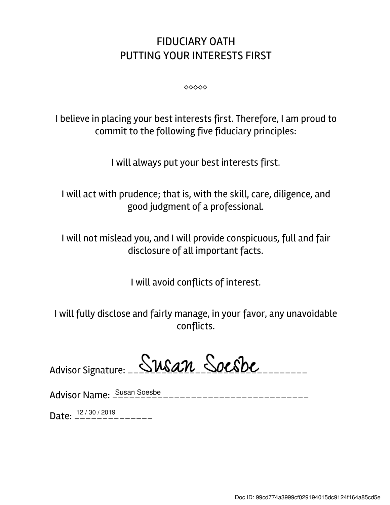## FIDUCIARY OATH PUTTING YOUR INTERESTS FIRST

⬥⬥⬥⬥⬥

I believe in placing your best interests first. Therefore, I am proud to commit to the following five fiduciary principles:

I will always put your best interests first.

I will act with prudence; that is, with the skill, care, diligence, and good judgment of a professional.

I will not mislead you, and I will provide conspicuous, full and fair disclosure of all important facts.

I will avoid conflicts of interest.

I will fully disclose and fairly manage, in your favor, any unavoidable conflicts.

| Advisor Signature: Susan Socsbe |  |  |
|---------------------------------|--|--|
|                                 |  |  |

Advisor Name: \_\_\_\_\_\_\_\_\_\_\_\_\_\_\_\_\_\_\_\_\_\_\_\_\_\_\_\_\_\_\_\_\_\_\_ Susan Soesbe

Date:  $\frac{12/30/2019}{---------}$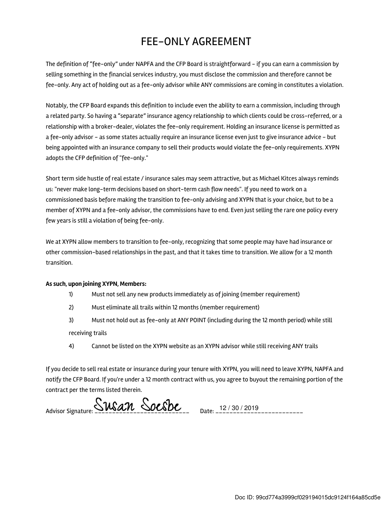## FEE-ONLY AGREEMENT

The definition of "fee-only" under NAPFA and the CFP Board is straightforward - if you can earn a commission by selling something in the financial services industry, you must disclose the commission and therefore cannot be fee-only. Any act of holding out as a fee-only advisor while ANY commissions are coming in constitutes a violation.

Notably, the CFP Board expands this definition to include even the ability to earn a commission, including through a related party. So having a "separate" insurance agency relationship to which clients could be cross-referred, or a relationship with a broker-dealer, violates the fee-only requirement. Holding an insurance license is permitted as a fee-only advisor - as some states actually require an insurance license even just to give insurance advice - but being appointed with an insurance company to sell their products would violate the fee-only requirements. XYPN adopts the CFP definition of "fee-only."

Short term side hustle of real estate / insurance sales may seem attractive, but as Michael Kitces always reminds us: "never make long-term decisions based on short-term cash flow needs". If you need to work on a commissioned basis before making the transition to fee-only advising and XYPN that is your choice, but to be a member of XYPN and a fee-only advisor, the commissions have to end. Even just selling the rare one policy every few years is still a violation of being fee-only.

We at XYPN allow members to transition to fee-only, recognizing that some people may have had insurance or other commission-based relationships in the past, and that it takes time to transition. We allow for a 12 month transition.

## As such, upon joining XYPN, Members:

- 1) Must not sell any new products immediately as of joining (member requirement)
- 2) Must eliminate all trails within 12 months (member requirement)
- 3) Must not hold out as fee-only at ANY POINT (including during the 12 month period) while still receiving trails
- 4) Cannot be listed on the XYPN website as an XYPN advisor while still receiving ANY trails

If you decide to sell real estate or insurance during your tenure with XYPN, you will need to leave XYPN, NAPFA and notify the CFP Board. If you're under a 12 month contract with us, you agree to buyout the remaining portion of the contract per the terms listed therein.

Advisor Signature:  $\frac{\text{Swan}}{\text{SUSan}}$   $\frac{\text{Soes}}{\text{SUSan}}$  Date: 12/30/2019